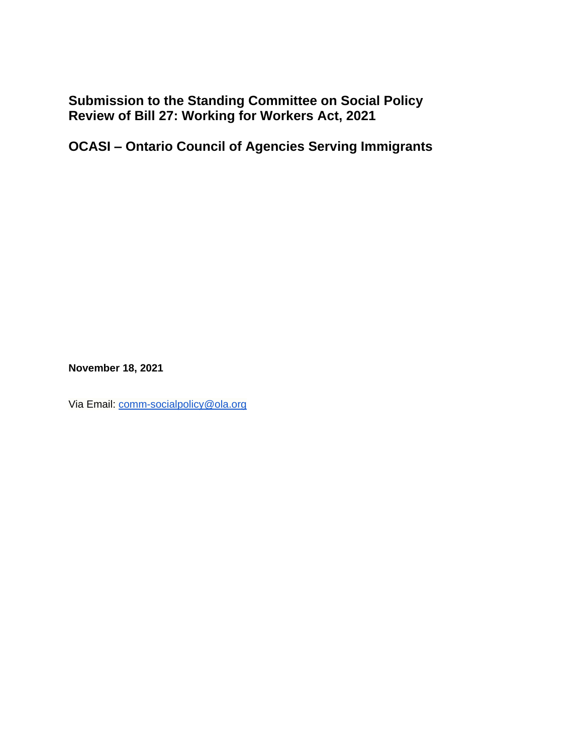**Submission to the Standing Committee on Social Policy Review of Bill 27: Working for Workers Act, 2021**

**OCASI – Ontario Council of Agencies Serving Immigrants**

**November 18, 2021**

Via Email: [comm-socialpolicy@ola.org](mailto:comm-socialpolicy@ola.org)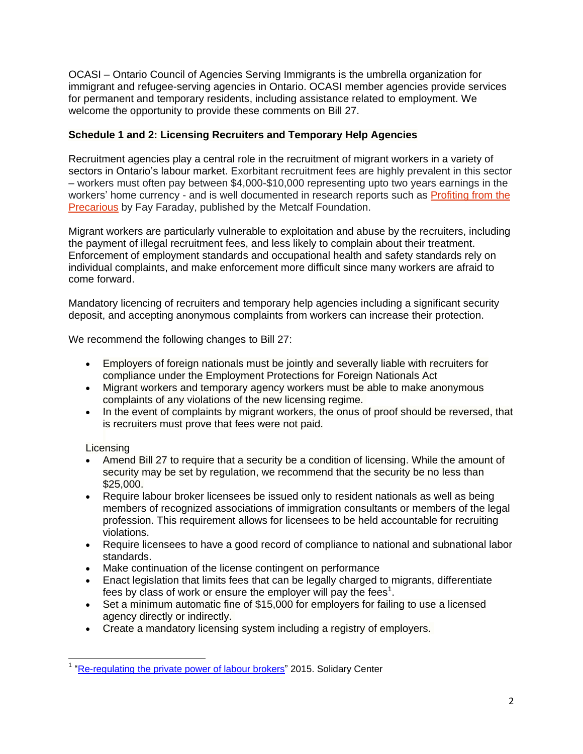OCASI – Ontario Council of Agencies Serving Immigrants is the umbrella organization for immigrant and refugee-serving agencies in Ontario. OCASI member agencies provide services for permanent and temporary residents, including assistance related to employment. We welcome the opportunity to provide these comments on Bill 27.

## **Schedule 1 and 2: Licensing Recruiters and Temporary Help Agencies**

Recruitment agencies play a central role in the recruitment of migrant workers in a variety of sectors in Ontario's labour market. Exorbitant recruitment fees are highly prevalent in this sector – workers must often pay between \$4,000-\$10,000 representing upto two years earnings in the workers' home currency - and is well documented in research reports such as [Profiting from the](https://metcalffoundation.com/stories/publications/profiting-from-the-precarious-how-recruitment-practices-exploit-migrant-workers/)  [Precarious](https://metcalffoundation.com/stories/publications/profiting-from-the-precarious-how-recruitment-practices-exploit-migrant-workers/) by Fay Faraday, published by the Metcalf Foundation.

Migrant workers are particularly vulnerable to exploitation and abuse by the recruiters, including the payment of illegal recruitment fees, and less likely to complain about their treatment. Enforcement of employment standards and occupational health and safety standards rely on individual complaints, and make enforcement more difficult since many workers are afraid to come forward.

Mandatory licencing of recruiters and temporary help agencies including a significant security deposit, and accepting anonymous complaints from workers can increase their protection.

We recommend the following changes to Bill 27:

- Employers of foreign nationals must be jointly and severally liable with recruiters for compliance under the Employment Protections for Foreign Nationals Act
- Migrant workers and temporary agency workers must be able to make anonymous complaints of any violations of the new licensing regime.
- In the event of complaints by migrant workers, the onus of proof should be reversed, that is recruiters must prove that fees were not paid.

# Licensing

- Amend Bill 27 to require that a security be a condition of licensing. While the amount of security may be set by regulation, we recommend that the security be no less than \$25,000.
- Require labour broker licensees be issued only to resident nationals as well as being members of recognized associations of immigration consultants or members of the legal profession. This requirement allows for licensees to be held accountable for recruiting violations.
- Require licensees to have a good record of compliance to national and subnational labor standards.
- Make continuation of the license contingent on performance
- Enact legislation that limits fees that can be legally charged to migrants, differentiate fees by class of work or ensure the employer will pay the fees<sup>1</sup>.
- Set a minimum automatic fine of \$15,000 for employers for failing to use a licensed agency directly or indirectly.
- Create a mandatory licensing system including a registry of employers.

<sup>&</sup>lt;sup>1</sup> ["Re-regulating the private power of labour brokers"](https://www.solidaritycenter.org/wp-content/uploads/2015/05/Migration.International-Labor-Migration-Reregulating-the-Private-Power-of-Labor.2015.pdf) 2015. Solidary Center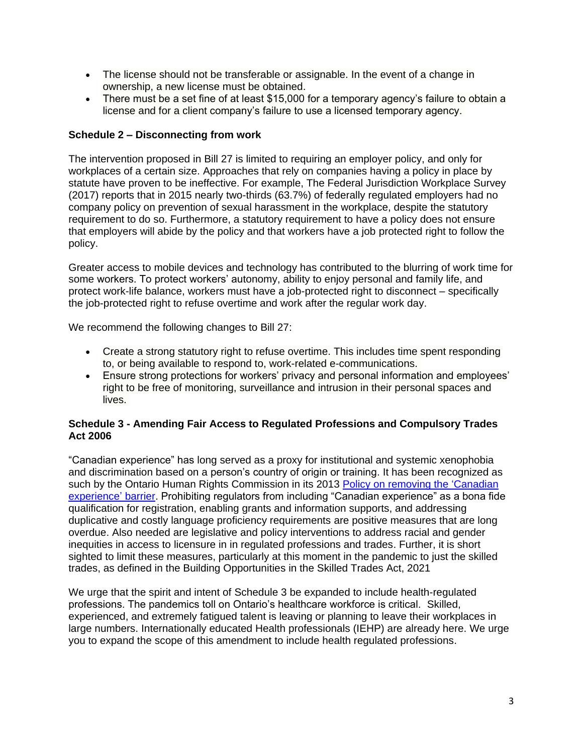- The license should not be transferable or assignable. In the event of a change in ownership, a new license must be obtained.
- There must be a set fine of at least \$15,000 for a temporary agency's failure to obtain a license and for a client company's failure to use a licensed temporary agency.

## **Schedule 2 – Disconnecting from work**

The intervention proposed in Bill 27 is limited to requiring an employer policy, and only for workplaces of a certain size. Approaches that rely on companies having a policy in place by statute have proven to be ineffective. For example, The Federal Jurisdiction Workplace Survey (2017) reports that in 2015 nearly two-thirds (63.7%) of federally regulated employers had no company policy on prevention of sexual harassment in the workplace, despite the statutory requirement to do so. Furthermore, a statutory requirement to have a policy does not ensure that employers will abide by the policy and that workers have a job protected right to follow the policy.

Greater access to mobile devices and technology has contributed to the blurring of work time for some workers. To protect workers' autonomy, ability to enjoy personal and family life, and protect work-life balance, workers must have a job-protected right to disconnect – specifically the job-protected right to refuse overtime and work after the regular work day.

We recommend the following changes to Bill 27:

- Create a strong statutory right to refuse overtime. This includes time spent responding to, or being available to respond to, work-related e-communications.
- Ensure strong protections for workers' privacy and personal information and employees' right to be free of monitoring, surveillance and intrusion in their personal spaces and lives.

### **Schedule 3 - Amending Fair Access to Regulated Professions and Compulsory Trades Act 2006**

"Canadian experience" has long served as a proxy for institutional and systemic xenophobia and discrimination based on a person's country of origin or training. It has been recognized as such by the Ontario Human Rights Commission in its 2013 Policy on [removing the 'Canadian](http://www.ohrc.on.ca/en/policy-removing-%E2%80%9Ccanadian-experience%E2%80%9D-barrier)  [experience'](http://www.ohrc.on.ca/en/policy-removing-%E2%80%9Ccanadian-experience%E2%80%9D-barrier) barrier. Prohibiting regulators from including "Canadian experience" as a bona fide qualification for registration, enabling grants and information supports, and addressing duplicative and costly language proficiency requirements are positive measures that are long overdue. Also needed are legislative and policy interventions to address racial and gender inequities in access to licensure in in regulated professions and trades. Further, it is short sighted to limit these measures, particularly at this moment in the pandemic to just the skilled trades, as defined in the Building Opportunities in the Skilled Trades Act, 2021

We urge that the spirit and intent of Schedule 3 be expanded to include health-regulated professions. The pandemics toll on Ontario's healthcare workforce is critical. Skilled, experienced, and extremely fatigued talent is leaving or planning to leave their workplaces in large numbers. Internationally educated Health professionals (IEHP) are already here. We urge you to expand the scope of this amendment to include health regulated professions.